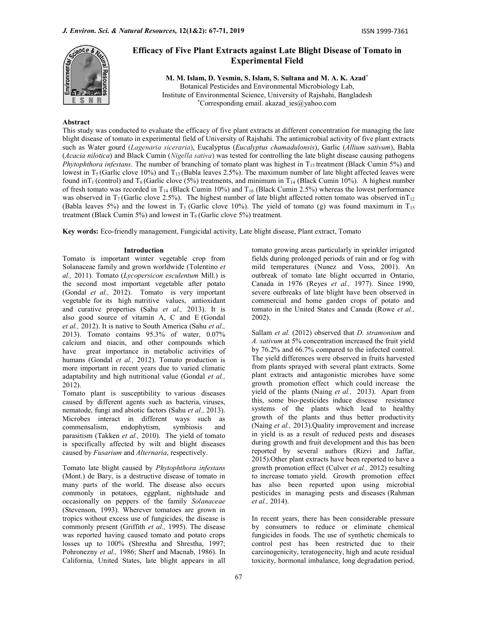

# Efficacy of Five Plant Extracts against Late Blight Disease of Tomato in Experimental Field

M. M. Islam, D. Yesmin, S. Islam, S. Sultana and M. A. K. Azad\* Botanical Pesticides and Environmental Microbiology Lab, Institute of Environmental Science, University of Rajshahi, Bangladesh \*Corresponding email. akazad  $ies@yahoo.com$ 

# Abstract

This study was conducted to evaluate the efficacy of five plant extracts at different concentration for managing the late blight disease of tomato in experimental field of University of Rajshahi. The antimicrobial activity of five plant extracts such as Water gourd (Lagenaria siceraria), Eucalyptus (Eucalyptus chamadulonsis), Garlic (Allium sativum), Babla (Acacia nilotica) and Black Cumin (Nigella sativa) was tested for controlling the late blight disease causing pathogens *Phytophthora infestans*. The number of branching of tomato plant was highest in  $T_{15}$  treatment (Black Cumin 5%) and lowest in  $T_5$  (Garlic clove 10%) and  $T_{13}$  (Babla leaves 2.5%). The maximum number of late blight affected leaves were found in T<sub>1</sub> (control) and T<sub>6</sub> (Garlic clove (5%) treatments, and minimum in T<sub>14</sub> (Black Cumin 10%). A highest number of fresh tomato was recorded in  $T_{14}$  (Black Cumin 10%) and  $T_{16}$  (Black Cumin 2.5%) whereas the lowest performance was observed in  $T_7$  (Garlic clove 2.5%). The highest number of late blight affected rotten tomato was observed in $T_{12}$ (Babla leaves 5%) and the lowest in T<sub>5</sub> (Garlic clove 10%). The yield of tomato (g) was found maximum in T<sub>15</sub> treatment (Black Cumin 5%) and lowest in  $T_6$  (Garlic clove 5%) treatment.

Key words: Eco-friendly management, Fungicidal activity, Late blight disease, Plant extract, Tomato

## Introduction

Tomato is important winter vegetable crop from Solanaceae family and grown worldwide (Tolentino et  $al., 2011$ ). Tomato (Lycopersicon esculentum Mill.) is the second most important vegetable after potato (Gondal et al., 2012). Tomato is very important vegetable for its high nutritive values, antioxidant and curative properties (Sahu et al., 2013). It is also good source of vitamin A, C and E (Gondal et al., 2012). It is native to South America (Sahu et al., 2013). Tomato contains 95.3% of water, 0.07% calcium and niacin, and other compounds which have great importance in metabolic activities of humans (Gondal et al., 2012). Tomato production is more important in recent years due to varied climatic adaptability and high nutritional value (Gondal et al., 2012).

Tomato plant is susceptibility to various diseases caused by different agents such as bacteria, viruses, nematode, fungi and abiotic factors (Sahu et al., 2013). Microbes interact in different ways such as commensalism, endophytism, symbiosis and parasitism (Takken et al., 2010). The yield of tomato is specifically affected by wilt and blight diseases caused by Fusarium and Alternaria, respectively.

Tomato late blight caused by Phytophthora infestans (Mont.) de Bary, is a destructive disease of tomato in many parts of the world. The disease also occurs commonly in potatoes, eggplant, nightshade and occasionally on peppers of the family Solanaceae (Stevenson, 1993). Wherever tomatoes are grown in tropics without excess use of fungicides, the disease is commonly present (Griffith et al., 1995). The disease was reported having caused tomato and potato crops losses up to 100% (Shrestha and Shrestha, 1997; Pohronezny et al., 1986; Sherf and Macnab, 1986). In California, United States, late blight appears in all

tomato growing areas particularly in sprinkler irrigated fields during prolonged periods of rain and or fog with mild temperatures (Nunez and Voss, 2001). An outbreak of tomato late blight occurred in Ontario, Canada in 1976 (Reyes et al., 1977). Since 1990, severe outbreaks of late blight have been observed in commercial and home garden crops of potato and tomato in the United States and Canada (Rowe et al., 2002).

Sallam et al. (2012) observed that *D. stramonium* and A. sativum at 5% concentration increased the fruit yield by 76.2% and 66.7% compared to the infected control. The yield differences were observed in fruits harvested from plants sprayed with several plant extracts. Some plant extracts and antagonistic microbes have some growth promotion effect which could increase the yield of the plants (Naing et al., 2013). Apart from this, some bio-pesticides induce disease resistance systems of the plants which lead to healthy growth of the plants and thus better productivity (Naing et al., 2013). Quality improvement and increase in yield is as a result of reduced pests and diseases during growth and fruit development and this has been reported by several authors (Rizvi and Jaffar, 2015).Other plant extracts have been reported to have a growth promotion effect (Culver et al., 2012) resulting to increase tomato yield. Growth promotion effect has also been reported upon using microbial pesticides in managing pests and diseases (Rahman et al., 2014).

In recent years, there has been considerable pressure by consumers to reduce or eliminate chemical fungicides in foods. The use of synthetic chemicals to control pest has been restricted due to their carcinogenicity, teratogenecity, high and acute residual toxicity, hormonal imbalance, long degradation period,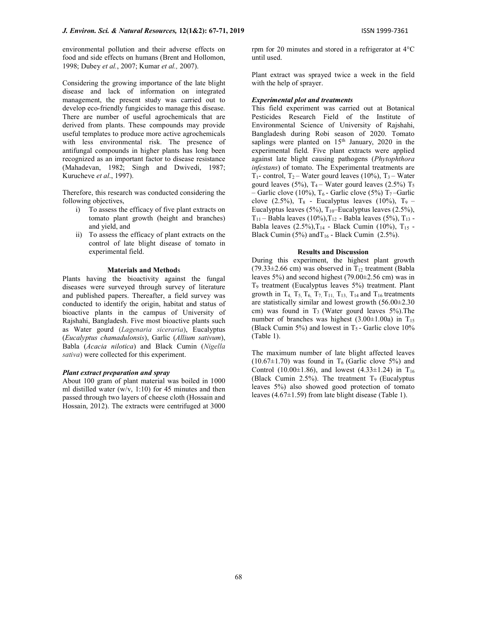environmental pollution and their adverse effects on food and side effects on humans (Brent and Hollomon, 1998; Dubey et al., 2007; Kumar et al., 2007).

Considering the growing importance of the late blight disease and lack of information on integrated management, the present study was carried out to develop eco-friendly fungicides to manage this disease. There are number of useful agrochemicals that are derived from plants. These compounds may provide useful templates to produce more active agrochemicals with less environmental risk. The presence of antifungal compounds in higher plants has long been recognized as an important factor to disease resistance (Mahadevan, 1982; Singh and Dwivedi, 1987; Kurucheve et al., 1997).

Therefore, this research was conducted considering the following objectives,

- i) To assess the efficacy of five plant extracts on tomato plant growth (height and branches) and yield, and
- ii) To assess the efficacy of plant extracts on the control of late blight disease of tomato in experimental field.

#### Materials and Methods

Plants having the bioactivity against the fungal diseases were surveyed through survey of literature and published papers. Thereafter, a field survey was conducted to identify the origin, habitat and status of bioactive plants in the campus of University of Rajshahi, Bangladesh. Five most bioactive plants such as Water gourd (Lagenaria siceraria), Eucalyptus (Eucalyptus chamadulonsis), Garlic (Allium sativum), Babla (Acacia nilotica) and Black Cumin (Nigella sativa) were collected for this experiment.

## Plant extract preparation and spray

About 100 gram of plant material was boiled in 1000 ml distilled water (w/v, 1:10) for 45 minutes and then passed through two layers of cheese cloth (Hossain and Hossain, 2012). The extracts were centrifuged at 3000 rpm for 20 minutes and stored in a refrigerator at 4°C until used.

Plant extract was sprayed twice a week in the field with the help of sprayer.

### Experimental plot and treatments

This field experiment was carried out at Botanical Pesticides Research Field of the Institute of Environmental Science of University of Rajshahi, Bangladesh during Robi season of 2020. Tomato saplings were planted on  $15<sup>th</sup>$  January, 2020 in the experimental field. Five plant extracts were applied against late blight causing pathogens (Phytophthora infestans) of tomato. The Experimental treatments are  $T_1$ - control,  $T_2$  – Water gourd leaves (10%),  $T_3$  – Water gourd leaves (5%),  $T_4$  – Water gourd leaves (2.5%)  $T_5$ – Garlic clove (10%),  $T_6$  - Garlic clove (5%)  $T_7$ –Garlic clove (2.5%),  $T_8$  - Eucalyptus leaves (10%),  $T_9$  -Eucalyptus leaves (5%),  $T_{10}$ –Eucalyptus leaves (2.5%),  $T_{11}$  – Babla leaves (10%),  $T_{12}$  - Babla leaves (5%),  $T_{13}$  -Babla leaves  $(2.5\%),$ T<sub>14</sub> - Black Cumin (10%), T<sub>15</sub> -Black Cumin (5%) and  $T_{16}$  - Black Cumin (2.5%).

#### Results and Discussion

During this experiment, the highest plant growth (79.33 $\pm$ 2.66 cm) was observed in T<sub>12</sub> treatment (Babla leaves 5%) and second highest (79.00±2.56 cm) was in T9 treatment (Eucalyptus leaves 5%) treatment. Plant growth in T<sub>4</sub>, T<sub>5</sub>, T<sub>6</sub>, T<sub>7</sub>, T<sub>11</sub>, T<sub>13</sub>, T<sub>14</sub> and T<sub>16</sub> treatments are statistically similar and lowest growth (56.00±2.30 cm) was found in  $T_3$  (Water gourd leaves 5%). The number of branches was highest  $(3.00\pm1.00a)$  in T<sub>15</sub> (Black Cumin 5%) and lowest in  $T_5$ - Garlic clove 10% (Table 1).

The maximum number of late blight affected leaves  $(10.67\pm1.70)$  was found in T<sub>6</sub> (Garlic clove 5%) and Control (10.00 $\pm$ 1.86), and lowest (4.33 $\pm$ 1.24) in T<sub>16</sub> (Black Cumin 2.5%). The treatment  $T_9$  (Eucalyptus leaves 5%) also showed good protection of tomato leaves  $(4.67\pm1.59)$  from late blight disease (Table 1).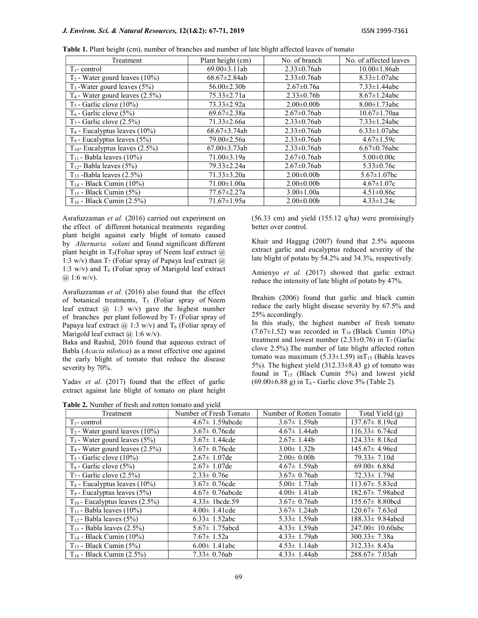#### J. Environ. Sci. & Natural Resources, 12(1&2): 67-71, 2019 ISSN 1999-7361

| Treatment                            | Plant height (cm)   | No. of branch      | No. of affected leaves |
|--------------------------------------|---------------------|--------------------|------------------------|
| $T_1$ - control                      | $69.00 \pm 3.11$ ab | $2.33 \pm 0.76$ ab | $10.00 \pm 1.86$ ab    |
| $T_2$ - Water gourd leaves (10%)     | $68.67 \pm 2.84$ ab | $2.33 \pm 0.76$ ab | $8.33 \pm 1.07$ abc    |
| $T_3$ -Water gourd leaves (5%)       | $56.00 \pm 2.30 b$  | $2.67 \pm 0.76a$   | $7.33 \pm 1.44$ abc    |
| $T_4$ - Water gourd leaves $(2.5\%)$ | $75.33 \pm 2.71a$   | $2.33 \pm 0.76 b$  | $8.67 \pm 1.24$ abc    |
| $T_5$ - Garlic clove (10%)           | $73.33 \pm 2.92a$   | $2.00\pm0.00b$     | $8.00 \pm 1.73$ abc    |
| $T_6$ - Garlic clove (5%)            | $69.67 \pm 2.38a$   | $2.67 \pm 0.76$ ab | $10.67 \pm 1.70$ aa    |
| $T_7$ - Garlic clove (2.5%)          | $71.33 \pm 2.66a$   | $2.33 \pm 0.76$ ab | $7.33 \pm 1.24$ abc    |
| $T_8$ - Eucalyptus leaves (10%)      | $68.67 \pm 3.74ab$  | $2.33 \pm 0.76$ ab | $6.33 \pm 1.07$ abc    |
| $T_9$ - Eucalyptus leaves $(5\%)$    | 79.00±2.56a         | $2.33 \pm 0.76$ ab | $4.67 \pm 1.59c$       |
| $T_{10}$ - Eucalyptus leaves (2.5%)  | $67.00 \pm 3.73$ ab | $2.33 \pm 0.76$ ab | $6.67 \pm 0.76$ abc    |
| $T_{11}$ - Babla leaves (10%)        | $71.00 \pm 3.19a$   | $2.67 \pm 0.76$ ab | $5.00 \pm 0.00c$       |
| $T_{12}$ - Babla leaves (5%)         | 79.33±2.24a         | $2.67 \pm 0.76$ ab | $5.33 \pm 0.76c$       |
| $T_{13}$ -Babla leaves (2.5%)        | $71.33 \pm 3.20a$   | $2.00\pm0.00b$     | $5.67 \pm 1.07$ bc     |
| $T_{14}$ - Black Cumin (10%)         | 71.00±1.00a         | $2.00 \pm 0.00$    | $4.67 \pm 1.07c$       |

 $T_{15}$  - Black Cumin (5%)  $77.67 \pm 2.27$ a  $3.00 \pm 1.00$ a 4.51 $\pm 0.86$ c T<sup>16</sup> - Black Cumin (2.5%) 71.67±1.95a 2.00±0.00b 4.33±1.24c

Table 1. Plant height (cm), number of branches and number of late blight affected leaves of tomato

Asrafuzzaman et al. (2016) carried out experiment on the effect of different botanical treatments regarding plant height against early blight of tomato caused by Alternaria solani and found significant different plant height in T<sub>5</sub>(Foliar spray of Neem leaf extract  $@$ 1:3 w/v) than  $T_7$  (Foliar spray of Papaya leaf extract  $\omega$ ) 1:3 w/v) and  $T_6$  (Foliar spray of Marigold leaf extract  $(a)$  1:6 w/v).

Asrafuzzaman et al. (2016) also found that the effect of botanical treatments, T<sub>5</sub> (Foliar spray of Neem leaf extract @ 1:3 w/v) gave the highest number of branches per plant followed by  $T_7$  (Foliar spray of Papaya leaf extract  $(\overline{\omega})$  1:3 w/v) and T<sub>6</sub> (Foliar spray of Marigold leaf extract  $(a)$  1:6 w/v).

Baka and Rashid, 2016 found that aqueous extract of Babla (Acacia nilotica) as a most effective one against the early blight of tomato that reduce the disease severity by 70%.

Yadav et al. (2017) found that the effect of garlic extract against late blight of tomato on plant height

Table 2. Number of fresh and rotten tomato and yield

(56.33 cm) and yield (155.12 q/ha) were promisingly better over control.

Khair and Haggag (2007) found that 2.5% aqueous extract garlic and eucalyptus reduced severity of the late blight of potato by 54.2% and 34.3%, respectively.

Amienyo et al. (2017) showed that garlic extract reduce the intensity of late blight of potato by 47%.

Ibrahim (2006) found that garlic and black cumin reduce the early blight disease severity by 67.5% and 25% accordingly.

In this study, the highest number of fresh tomato  $(7.67\pm1.52)$  was recorded in T<sub>14</sub> (Black Cumin 10%) treatment and lowest number (2.33 $\pm$ 0.76) in T<sub>7</sub> (Garlic clove 2.5%).The number of late blight affected rotten tomato was maximum (5.33 $\pm$ 1.59) inT<sub>15</sub> (Babla leaves 5%). The highest yield  $(312.33\pm8.43 \text{ g})$  of tomato was found in  $T_{15}$  (Black Cumin 5%) and lowest yield  $(69.00\pm6.88 \text{ g})$  in T<sub>6</sub> - Garlic clove 5% (Table 2).

| $\mathbf{r}$ and $\mathbf{r}$ is a compact of frequencies for $\mathbf{r}$ and $\mathbf{r}$ and $\mathbf{r}$ and $\mathbf{r}$ |                        |                         |                        |  |
|-------------------------------------------------------------------------------------------------------------------------------|------------------------|-------------------------|------------------------|--|
| Treatment                                                                                                                     | Number of Fresh Tomato | Number of Rotten Tomato | Total Yield $(g)$      |  |
| $T_1$ - control                                                                                                               | $4.67 \pm 1.59$ abcde  | $3.67 \pm 1.59$ ab      | $137.67 \pm 8.19cd$    |  |
| $T_2$ - Water gourd leaves (10%)                                                                                              | $3.67 \pm 0.76$ cde    | $4.67 \pm 1.44$ ab      | $116.33 \pm 6.74$ cd   |  |
| $T_3$ - Water gourd leaves (5%)                                                                                               | $3.67 \pm 1.44$ cde    | $2.67 \pm 1.44b$        | $124.33 \pm 8.18cd$    |  |
| $T_4$ - Water gourd leaves $(2.5\%)$                                                                                          | $3.67 \pm 0.76$ cde    | $3.00 \pm 1.32 b$       | $145.67 \pm 4.96$ cd   |  |
| $T_5$ - Garlic clove (10%)                                                                                                    | $2.67 \pm 1.07$ de     | $2.00 \pm 0.00$         | $79.33 \pm 7.10d$      |  |
| $T_6$ - Garlic clove (5%)                                                                                                     | $2.67 \pm 1.07$ de     | $4.67 \pm 1.59$ ab      | $69.00 \pm 6.88$ d     |  |
| $T_7$ - Garlic clove (2.5%)                                                                                                   | $2.33 \pm 0.76e$       | $3.67 \pm 0.76$ ab      | $72.33 \pm 1.79d$      |  |
| $T_8$ - Eucalyptus leaves (10%)                                                                                               | $3.67 \pm 0.76$ cde    | 5.00 $\pm$ 1.73ab       | $113.67 \pm 5.83$ cd   |  |
| $T_9$ - Eucalyptus leaves $(5\%)$                                                                                             | $4.67 \pm 0.76$ abcde  | $4.00 \pm 1.41$ ab      | $182.67 \pm 7.98$ abcd |  |
| $T_{10}$ - Eucalyptus leaves (2.5%)                                                                                           | $4.33 \pm 1$ bcde.59   | $3.67 \pm 0.76$ ab      | $155.67 \pm 8.80$ bcd  |  |
| $T_{11}$ - Babla leaves (10%)                                                                                                 | $4.00 \pm 1.41$ cde    | $3.67 \pm 1.24$ ab      | $120.67 \pm 7.63$ cd   |  |
| $T_{12}$ - Babla leaves (5%)                                                                                                  | $6.33 \pm 1.52$ abc    | 5.33 $\pm$ 1.59ab       | $188.33 \pm 9.84$ abcd |  |
| $T_{13}$ - Babla leaves (2.5%)                                                                                                | 5.67 $\pm$ 1.75abcd    | $4.33 \pm 1.59$ ab      | $247.00 \pm 10.60$ abc |  |
| $T_{14}$ - Black Cumin (10%)                                                                                                  | $7.67 \pm 1.52a$       | $4.33 \pm 1.79$ ab      | $300.33 \pm 7.38a$     |  |
| $T_{15}$ - Black Cumin (5%)                                                                                                   | $6.00 \pm 1.41$ abc    | $4.53 \pm 1.14$ ab      | $312.33 \pm 8.43a$     |  |
| $T_{16}$ - Black Cumin (2.5%)                                                                                                 | $7.33 \pm 0.76$ ab     | $4.33 \pm 1.44$ ab      | $288.67 \pm 7.03ab$    |  |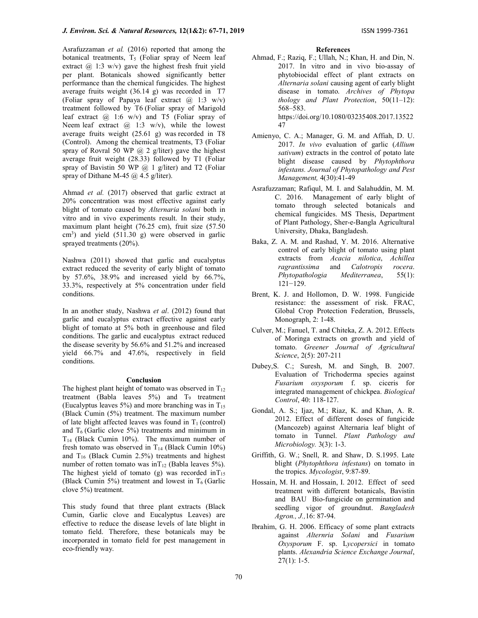Asrafuzzaman et al. (2016) reported that among the botanical treatments,  $T_5$  (Foliar spray of Neem leaf extract  $\omega$  1:3 w/v) gave the highest fresh fruit yield per plant. Botanicals showed significantly better performance than the chemical fungicides. The highest average fruits weight (36.14 g) was recorded in T7 (Foliar spray of Papaya leaf extract  $(\overline{a})$  1:3 w/v) treatment followed by T6 (Foliar spray of Marigold leaf extract  $\omega$  1:6 w/v) and T5 (Foliar spray of Neem leaf extract  $\omega$  1:3 w/v), while the lowest average fruits weight (25.61 g) was recorded in T8 (Control). Among the chemical treatments, T3 (Foliar spray of Rovral 50 WP  $(a)$  2 g/liter) gave the highest average fruit weight (28.33) followed by T1 (Foliar spray of Bavistin 50 WP @ 1 g/liter) and T2 (Foliar spray of Dithane M-45 @ 4.5 g/liter).

Ahmad et al. (2017) observed that garlic extract at 20% concentration was most effective against early blight of tomato caused by Alternaria solani both in vitro and in vivo experiments result. In their study, maximum plant height (76.25 cm), fruit size (57.50  $\text{cm}^3$ ) and yield (511.30 g) were observed in garlic sprayed treatments (20%).

Nashwa (2011) showed that garlic and eucalyptus extract reduced the severity of early blight of tomato by 57.6%, 38.9% and increased yield by 66.7%, 33.3%, respectively at 5% concentration under field conditions.

In an another study, Nashwa et al. (2012) found that garlic and eucalyptus extract effective against early blight of tomato at 5% both in greenhouse and filed conditions. The garlic and eucalyptus extract reduced the disease severity by 56.6% and 51.2% and increased yield 66.7% and 47.6%, respectively in field conditions.

#### Conclusion

The highest plant height of tomato was observed in  $T_{12}$ treatment (Babla leaves  $5\%$ ) and  $T_9$  treatment (Eucalyptus leaves 5%) and more branching was in  $T_{15}$ (Black Cumin (5%) treatment. The maximum number of late blight affected leaves was found in  $T_1$  (control) and  $T<sub>6</sub>$  (Garlic clove 5%) treatments and minimum in  $T_{14}$  (Black Cumin 10%). The maximum number of fresh tomato was observed in  $T_{14}$  (Black Cumin 10%) and  $T_{16}$  (Black Cumin 2.5%) treatments and highest number of rotten tomato was  $\inf_{12}$  (Babla leaves 5%). The highest yield of tomato (g) was recorded  $inT_{15}$ (Black Cumin 5%) treatment and lowest in  $T<sub>6</sub>$  (Garlic clove 5%) treatment.

This study found that three plant extracts (Black Cumin, Garlic clove and Eucalyptus Leaves) are effective to reduce the disease levels of late blight in tomato field. Therefore, these botanicals may be incorporated in tomato field for pest management in eco-friendly way.

#### References

Ahmad, F.; Raziq, F.; Ullah, N.; Khan, H. and Din, N. 2017. In vitro and in vivo bio-assay of phytobiocidal effect of plant extracts on Alternaria solani causing agent of early blight disease in tomato. Archives of Phytopa thology and Plant Protection,  $50(11-12)$ : 568–583.

https://doi.org/10.1080/03235408.2017.13522 47

- Amienyo, C. A.; Manager, G. M. and Affiah, D. U. 2017. In vivo evaluation of garlic (Allium sativum) extracts in the control of potato late blight disease caused by Phytophthora infestans. Journal of Phytopathology and Pest Management, 4(30):41-49
- Asrafuzzaman; Rafiqul, M. I. and Salahuddin, M. M. C. 2016. Management of early blight of tomato through selected botanicals and chemical fungicides. MS Thesis, Department of Plant Pathology, Sher-e-Bangla Agricultural University, Dhaka, Bangladesh.
- Baka, Z. A. M. and Rashad, Y. M. 2016. Alternative control of early blight of tomato using plant extracts from Acacia nilotica, Achillea ragrantissima and Calotropis rocera. Phytopathologia Mediterranea, 55(1): 121−129.
- Brent, K. J. and Hollomon, D. W. 1998. Fungicide resistance: the assessment of risk. FRAC, Global Crop Protection Federation, Brussels, Monograph, 2: 1-48.
- Culver, M.; Fanuel, T. and Chiteka, Z. A. 2012. Effects of Moringa extracts on growth and yield of tomato. Greener Journal of Agricultural Science, 2(5): 207-211
- Dubey,S. C.; Suresh, M. and Singh, B. 2007. Evaluation of Trichoderma species against Fusarium oxysporum f. sp. ciceris for integrated management of chickpea. Biological Control, 40: 118-127.
- Gondal, A. S.; Ijaz, M.; Riaz, K. and Khan, A. R. 2012. Effect of different doses of fungicide (Mancozeb) against Alternaria leaf blight of tomato in Tunnel. Plant Pathology and Microbiology. 3(3): 1-3.
- Griffith, G. W.; Snell, R. and Shaw, D. S.1995. Late blight (Phytophthora infestans) on tomato in the tropics. Mycologist, 9:87-89.
- Hossain, M. H. and Hossain, I. 2012. Effect of seed treatment with different botanicals, Bavistin and BAU Bio-fungicide on germination and seedling vigor of groundnut. Bangladesh Agron., J.,16: 87-94.
- Ibrahim, G. H. 2006. Efficacy of some plant extracts against Alternria Solani and Fusarium Oxysporum F. sp. Lycopersici in tomato plants. Alexandria Science Exchange Journal,  $27(1): 1-5.$